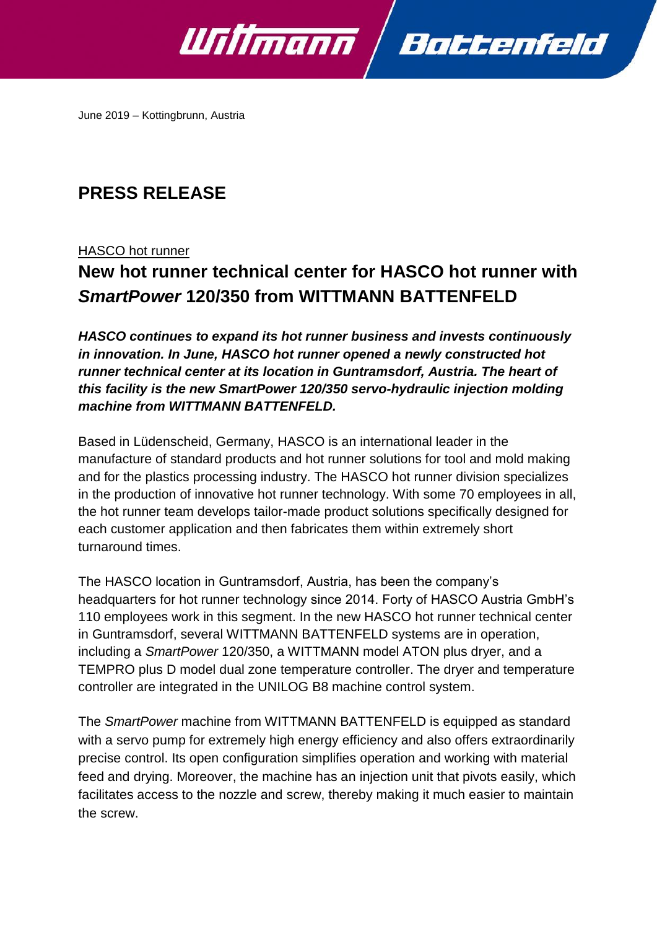

June 2019 – Kottingbrunn, Austria

# **PRESS RELEASE**

# HASCO hot runner

# **New hot runner technical center for HASCO hot runner with** *SmartPower* **120/350 from WITTMANN BATTENFELD**

*HASCO continues to expand its hot runner business and invests continuously in innovation. In June, HASCO hot runner opened a newly constructed hot runner technical center at its location in Guntramsdorf, Austria. The heart of this facility is the new SmartPower 120/350 servo-hydraulic injection molding machine from WITTMANN BATTENFELD.* 

Based in Lüdenscheid, Germany, HASCO is an international leader in the manufacture of standard products and hot runner solutions for tool and mold making and for the plastics processing industry. The HASCO hot runner division specializes in the production of innovative hot runner technology. With some 70 employees in all, the hot runner team develops tailor-made product solutions specifically designed for each customer application and then fabricates them within extremely short turnaround times.

The HASCO location in Guntramsdorf, Austria, has been the company's headquarters for hot runner technology since 2014. Forty of HASCO Austria GmbH's 110 employees work in this segment. In the new HASCO hot runner technical center in Guntramsdorf, several WITTMANN BATTENFELD systems are in operation, including a *SmartPower* 120/350, a WITTMANN model ATON plus dryer, and a TEMPRO plus D model dual zone temperature controller. The dryer and temperature controller are integrated in the UNILOG B8 machine control system.

The *SmartPower* machine from WITTMANN BATTENFELD is equipped as standard with a servo pump for extremely high energy efficiency and also offers extraordinarily precise control. Its open configuration simplifies operation and working with material feed and drying. Moreover, the machine has an injection unit that pivots easily, which facilitates access to the nozzle and screw, thereby making it much easier to maintain the screw.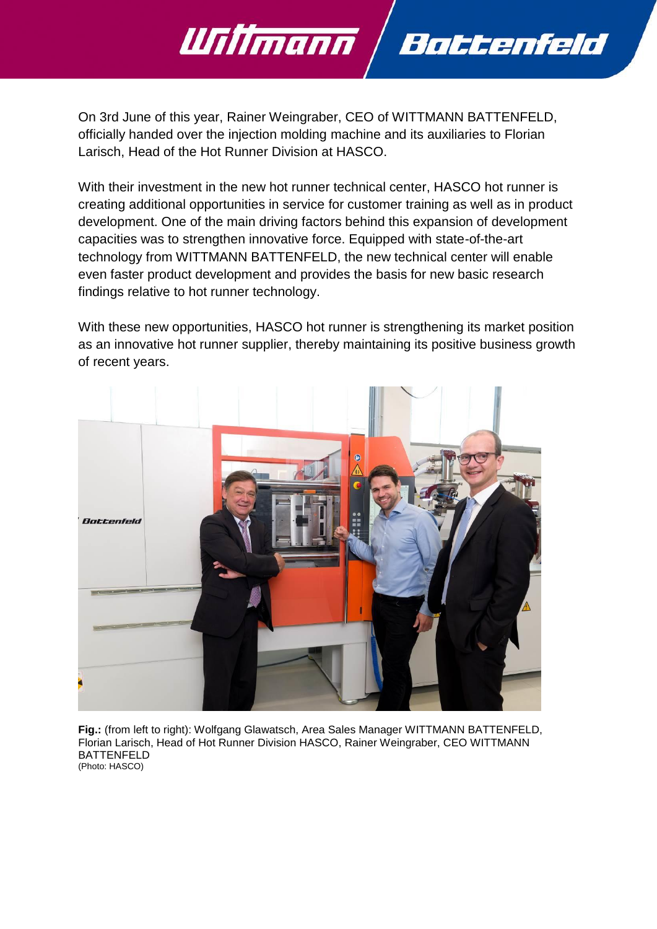On 3rd June of this year, Rainer Weingraber, CEO of WITTMANN BATTENFELD, officially handed over the injection molding machine and its auxiliaries to Florian Larisch, Head of the Hot Runner Division at HASCO.

Bottenfeld

Willmann

With their investment in the new hot runner technical center, HASCO hot runner is creating additional opportunities in service for customer training as well as in product development. One of the main driving factors behind this expansion of development capacities was to strengthen innovative force. Equipped with state-of-the-art technology from WITTMANN BATTENFELD, the new technical center will enable even faster product development and provides the basis for new basic research findings relative to hot runner technology.

With these new opportunities, HASCO hot runner is strengthening its market position as an innovative hot runner supplier, thereby maintaining its positive business growth of recent years.



**Fig.:** (from left to right): Wolfgang Glawatsch, Area Sales Manager WITTMANN BATTENFELD, Florian Larisch, Head of Hot Runner Division HASCO, Rainer Weingraber, CEO WITTMANN BATTENFELD (Photo: HASCO)